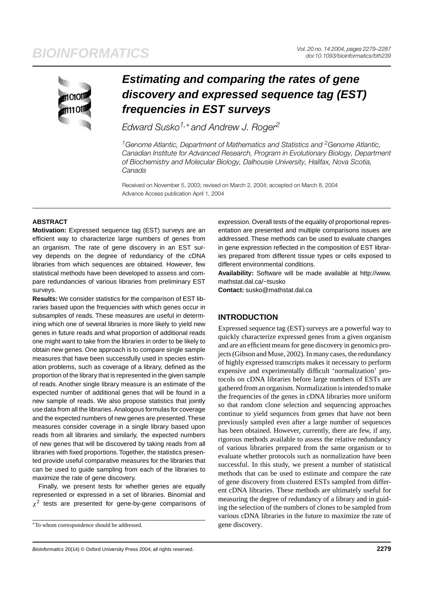# **BIOINFORMATICS** *Vol. 20 no. 14 2004, pages 2279–2287*



## **Estimating and comparing the rates of gene discovery and expressed sequence tag (EST) frequencies in EST surveys**

*Edward Susko1,*<sup>∗</sup> *and Andrew J. Roger2*

*1Genome Atlantic, Department of Mathematics and Statistics and 2Genome Atlantic, Canadian Institute for Advanced Research, Program in Evolutionary Biology, Department of Biochemistry and Molecular Biology, Dalhousie University, Halifax, Nova Scotia, Canada*

Received on November 5, 2003; revised on March 2, 2004; accepted on March 8, 2004 Advance Access publication April 1, 2004

#### **ABSTRACT**

**Motivation:** Expressed sequence tag (EST) surveys are an efficient way to characterize large numbers of genes from an organism. The rate of gene discovery in an EST survey depends on the degree of redundancy of the cDNA libraries from which sequences are obtained. However, few statistical methods have been developed to assess and compare redundancies of various libraries from preliminary EST surveys.

**Results:** We consider statistics for the comparison of EST libraries based upon the frequencies with which genes occur in subsamples of reads. These measures are useful in determining which one of several libraries is more likely to yield new genes in future reads and what proportion of additional reads one might want to take from the libraries in order to be likely to obtain new genes. One approach is to compare single sample measures that have been successfully used in species estimation problems, such as coverage of a library, defined as the proportion of the library that is represented in the given sample of reads. Another single library measure is an estimate of the expected number of additional genes that will be found in a new sample of reads. We also propose statistics that jointly use data from all the libraries. Analogous formulas for coverage and the expected numbers of new genes are presented.These measures consider coverage in a single library based upon reads from all libraries and similarly, the expected numbers of new genes that will be discovered by taking reads from all libraries with fixed proportions. Together, the statistics presented provide useful comparative measures for the libraries that can be used to guide sampling from each of the libraries to maximize the rate of gene discovery.

Finally, we present tests for whether genes are equally represented or expressed in a set of libraries. Binomial and *χ*<sup>2</sup> tests are presented for gene-by-gene comparisons of expression. Overall tests of the equality of proportional representation are presented and multiple comparisons issues are addressed. These methods can be used to evaluate changes in gene expression reflected in the composition of EST libraries prepared from different tissue types or cells exposed to different environmental conditions.

**Availability:** Software will be made available at [http://www.](http://www) mathstat.dal.ca/~tsusko

**Contact:** susko@mathstat.dal.ca

## **INTRODUCTION**

Expressed sequence tag (EST) surveys are a powerful way to quickly characterize expressed genes from a given organism and are an efficient means for gene discovery in genomics projects (Gibson and Muse, 2002). In many cases, the redundancy of highly expressed transcripts makes it necessary to perform expensive and experimentally difficult 'normalization' protocols on cDNA libraries before large numbers of ESTs are gathered from an organism. Normalization is intended to make the frequencies of the genes in cDNA libraries more uniform so that random clone selection and sequencing approaches continue to yield sequences from genes that have not been previously sampled even after a large number of sequences has been obtained. However, currently, there are few, if any, rigorous methods available to assess the relative redundancy of various libraries prepared from the same organism or to evaluate whether protocols such as normalization have been successful. In this study, we present a number of statistical methods that can be used to estimate and compare the rate of gene discovery from clustered ESTs sampled from different cDNA libraries. These methods are ultimately useful for measuring the degree of redundancy of a library and in guiding the selection of the numbers of clones to be sampled from various cDNA libraries in the future to maximize the rate of gene discovery.

<sup>∗</sup>To whom correspondence should be addressed.

Bioinformatics 20(14) © Oxford University Press 2004; all rights reserved. **2279**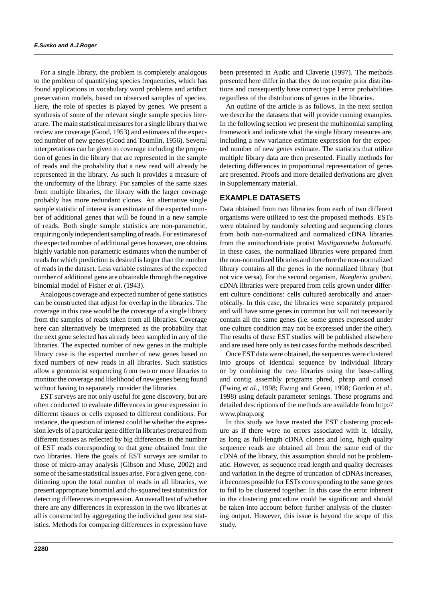For a single library, the problem is completely analogous to the problem of quantifying species frequencies, which has found applications in vocabulary word problems and artifact preservation models, based on observed samples of species. Here, the role of species is played by genes. We present a synthesis of some of the relevant single sample species literature. The main statistical measures for a single library that we review are coverage (Good, 1953) and estimates of the expected number of new genes (Good and Toumlin, 1956). Several interpretations can be given to coverage including the proportion of genes in the library that are represented in the sample of reads and the probability that a new read will already be represented in the library. As such it provides a measure of the uniformity of the library. For samples of the same sizes from multiple libraries, the library with the larger coverage probably has more redundant clones. An alternative single sample statistic of interest is an estimate of the expected number of additional genes that will be found in a new sample of reads. Both single sample statistics are non-parametric, requiring only independent sampling of reads. For estimates of the expected number of additional genes however, one obtains highly variable non-parametric estimates when the number of reads for which prediction is desired is larger than the number of reads in the dataset. Less variable estimates of the expected number of additional gene are obtainable through the negative binomial model of Fisher *et al*. (1943).

Analogous coverage and expected number of gene statistics can be constructed that adjust for overlap in the libraries. The coverage in this case would be the coverage of a single library from the samples of reads taken from all libraries. Coverage here can alternatively be interpreted as the probability that the next gene selected has already been sampled in any of the libraries. The expected number of new genes in the multiple library case is the expected number of new genes based on fixed numbers of new reads in all libraries. Such statistics allow a genomicist sequencing from two or more libraries to monitor the coverage and likelihood of new genes being found without having to separately consider the libraries.

EST surveys are not only useful for gene discovery, but are often conducted to evaluate differences in gene expression in different tissues or cells exposed to different conditions. For instance, the question of interest could be whether the expression levels of a particular gene differ in libraries prepared from different tissues as reflected by big differences in the number of EST reads corresponding to that gene obtained from the two libraries. Here the goals of EST surveys are similar to those of micro-array analysis (Gibson and Muse, 2002) and some of the same statistical issues arise. For a given gene, conditioning upon the total number of reads in all libraries, we present appropriate binomial and chi-squared test statistics for detecting differences in expression. An overall test of whether there are any differences in expression in the two libraries at all is constructed by aggregating the individual gene test statistics. Methods for comparing differences in expression have

been presented in Audic and Claverie (1997). The methods presented here differ in that they do not require prior distributions and consequently have correct type I error probabilities regardless of the distributions of genes in the libraries.

An outline of the article is as follows. In the next section we describe the datasets that will provide running examples. In the following section we present the multinomial sampling framework and indicate what the single library measures are, including a new variance estimate expression for the expected number of new genes estimate. The statistics that utilize multiple library data are then presented. Finally methods for detecting differences in proportional representation of genes are presented. Proofs and more detailed derivations are given in Supplementary material.

## **EXAMPLE DATASETS**

Data obtained from two libraries from each of two different organisms were utilized to test the proposed methods. ESTs were obtained by randomly selecting and sequencing clones from both non-normalized and normalized cDNA libraries from the amitochondriate protist *Mastigamoeba balamuthi*. In these cases, the normalized libraries were prepared from the non-normalized libraries and therefore the non-normalized library contains all the genes in the normalized library (but not vice versa). For the second organism, *Naegleria gruberi*, cDNA libraries were prepared from cells grown under different culture conditions: cells cultured aerobically and anaerobically. In this case, the libraries were separately prepared and will have some genes in common but will not necessarily contain all the same genes (i.e. some genes expressed under one culture condition may not be expressed under the other). The results of these EST studies will be published elsewhere and are used here only as test cases for the methods described.

Once EST data were obtained, the sequences were clustered into groups of identical sequence by individual library or by combining the two libraries using the base-calling and contig assembly programs phred, phrap and consed (Ewing *et al*., 1998; Ewing and Green, 1998; Gordon *et al*., 1998) using default parameter settings. These programs and detailed descriptions of the methods are available from<http://> www.phrap.org

In this study we have treated the EST clustering procedure as if there were no errors associated with it. Ideally, as long as full-length cDNA clones and long, high quality sequence reads are obtained all from the same end of the cDNA of the library, this assumption should not be problematic. However, as sequence read length and quality decreases and variation in the degree of truncation of cDNAs increases, it becomes possible for ESTs corresponding to the same genes to fail to be clustered together. In this case the error inherent in the clustering procedure could be significant and should be taken into account before further analysis of the clustering output. However, this issue is beyond the scope of this study.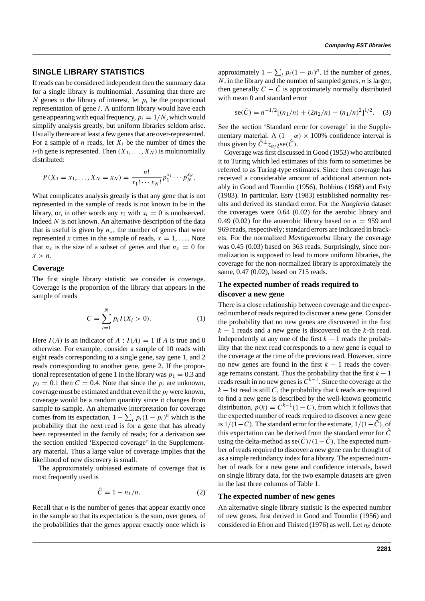#### **SINGLE LIBRARY STATISTICS**

If reads can be considered independent then the summary data for a single library is multinomial. Assuming that there are *N* genes in the library of interest, let  $p_i$  be the proportional representation of gene *i*. A uniform library would have each gene appearing with equal frequency,  $p_i = 1/N$ , which would simplify analysis greatly, but uniform libraries seldom arise. Usually there are at least a few genes that are over-represented. For a sample of  $n$  reads, let  $X_i$  be the number of times the *i*-th gene is represented. Then  $(X_1, \ldots, X_N)$  is multinomially distributed:

$$
P(X_1 = x_1, ..., X_N = x_N) = \frac{n!}{x_1! \cdots x_N!} p_1^{x_1} \cdots p_N^{x_N}.
$$

What complicates analysis greatly is that any gene that is not represented in the sample of reads is not known to be in the library, or, in other words any  $x_i$  with  $x_i = 0$  is unobserved. Indeed *N* is not known. An alternative description of the data that is useful is given by  $n_x$ , the number of genes that were represented *x* times in the sample of reads,  $x = 1, \ldots$ . Note that  $n_x$  is the size of a subset of genes and that  $n_x = 0$  for  $x>n$ .

#### **Coverage**

The first single library statistic we consider is coverage. Coverage is the proportion of the library that appears in the sample of reads

$$
C = \sum_{i=1}^{N} p_i I(X_i > 0).
$$
 (1)

Here  $I(A)$  is an indicator of  $A: I(A) = 1$  if A is true and 0 otherwise. For example, consider a sample of 10 reads with eight reads corresponding to a single gene, say gene 1, and 2 reads corresponding to another gene, gene 2. If the proportional representation of gene 1 in the library was  $p_1 = 0.3$  and  $p_2 = 0.1$  then  $C = 0.4$ . Note that since the  $p_i$  are unknown, coverage must be estimated and that even if the  $p_i$  were known, coverage would be a random quantity since it changes from sample to sample. An alternative interpretation for coverage comes from its expectation,  $1 - \sum_i p_i (1 - p_i)^n$  which is the probability that the next read is for a gene that has already been represented in the family of reads; for a derivation see the section entitled 'Expected coverage' in the Supplementary material. Thus a large value of coverage implies that the likelihood of new discovery is small.

The approximately unbiased estimate of coverage that is most frequently used is

$$
\hat{C} = 1 - n_1/n. \tag{2}
$$

Recall that *n* is the number of genes that appear exactly once in the sample so that its expectation is the sum, over genes, of the probabilities that the genes appear exactly once which is

approximately  $1 - \sum_i p_i (1 - p_i)^n$ . If the number of genes, *N*, in the library and the number of sampled genes, *n* is larger, then generally  $C - \hat{C}$  is approximately normally distributed with mean 0 and standard error

$$
se(\hat{C}) = n^{-1/2} [(n_1/n) + (2n_2/n) - (n_1/n)^2]^{1/2}.
$$
 (3)

See the section 'Standard error for coverage' in the Supplementary material. A  $(1 - \alpha) \times 100\%$  confidence interval is thus given by  $\hat{C}^{\pm} z_{\alpha/2}$ se $(\hat{C})$ .

Coverage was first discussed in Good (1953) who attributed it to Turing which led estimates of this form to sometimes be referred to as Turing-type estimates. Since then coverage has received a considerable amount of additional attention notably in Good and Toumlin (1956), Robbins (1968) and Esty (1983). In particular, Esty (1983) established normality results and derived its standard error. For the *Naegleria* dataset the coverages were 0.64 (0.02) for the aerobic library and 0.49 (0.02) for the anaerobic library based on  $n = 959$  and 969 reads, respectively; standard errors are indicated in brackets. For the normalized *Mastigamoeba* library the coverage was 0.45 (0.03) based on 363 reads. Surprisingly, since normalization is supposed to lead to more uniform libraries, the coverage for the non-normalized library is approximately the same, 0.47 (0.02), based on 715 reads.

#### **The expected number of reads required to discover a new gene**

There is a close relationship between coverage and the expected number of reads required to discover a new gene. Consider the probability that no new genes are discovered in the first *k* − 1 reads and a new gene is discovered on the *k*-th read. Independently at any one of the first  $k - 1$  reads the probability that the next read corresponds to a new gene is equal to the coverage at the time of the previous read. However, since no new genes are found in the first  $k - 1$  reads the coverage remains constant. Thus the probability that the first  $k - 1$ reads result in no new genes is *Ck*<sup>−</sup>1. Since the coverage at the  $k-1$ st read is still *C*, the probability that *k* reads are required to find a new gene is described by the well-known geometric distribution,  $p(k) = C^{k-1}(1-C)$ , from which it follows that the expected number of reads required to discover a new gene is  $1/(1−C)$ . The standard error for the estimate,  $1/(1−C)$ , of this expectation can be derived from the standard error for  $\hat{C}$ using the delta-method as se $(\hat{C})/(1-\hat{C})$ . The expected number of reads required to discover a new gene can be thought of as a simple redundancy index for a library. The expected number of reads for a new gene and confidence intervals, based on single library data, for the two example datasets are given in the last three columns of Table 1.

#### **The expected number of new genes**

An alternative single library statistic is the expected number of new genes, first derived in Good and Toumlin (1956) and considered in Efron and Thisted (1976) as well. Let  $\eta_x$  denote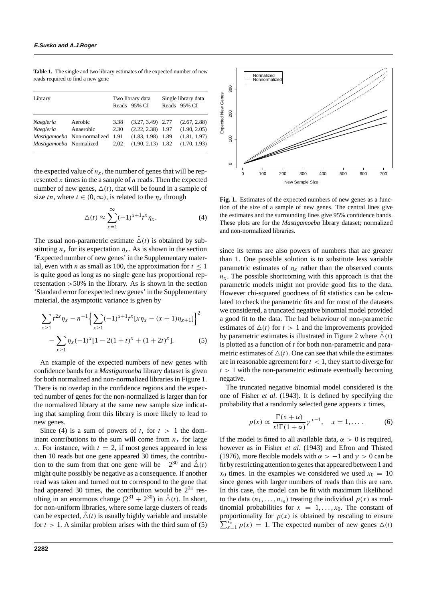**Table 1.** The single and two library estimates of the expected number of new reads required to find a new gene

| Library                 |                                         | Two library data |                     | Single library data |              |
|-------------------------|-----------------------------------------|------------------|---------------------|---------------------|--------------|
|                         |                                         |                  | Reads 95% CI        |                     | Reads 95% CI |
| Naegleria               | Aerobic                                 | 3.38             | $(3.27, 3.49)$ 2.77 |                     | (2.67, 2.88) |
| Naegleria               | Anaerobic                               | 2.30             | $(2.22, 2.38)$ 1.97 |                     | (1.90, 2.05) |
|                         | <i>Mastigamoeba</i> Non-normalized 1.91 |                  | $(1.83, 1.98)$ 1.89 |                     | (1.81, 1.97) |
| Mastigamoeba Normalized |                                         | 2.02             | $(1.90, 2.13)$ 1.82 |                     | (1.70, 1.93) |

the expected value of  $n_x$ , the number of genes that will be represented *x* times in the a sample of *n* reads. Then the expected number of new genes,  $\Delta(t)$ , that will be found in a sample of size *tn*, where  $t \in (0, \infty)$ , is related to the  $\eta_x$  through

$$
\Delta(t) \approx \sum_{x=1}^{\infty} (-1)^{x+1} t^x \eta_x.
$$
 (4)

The usual non-parametric estimate  $\hat{\Delta}(t)$  is obtained by substituting  $n_x$  for its expectation  $\eta_x$ . As is shown in the section 'Expected number of new genes' in the Supplementary material, even with *n* as small as 100, the approximation for  $t \le 1$ is quite good as long as no single gene has proportional representation *>*50% in the library. As is shown in the section 'Standard error for expected new genes' in the Supplementary material, the asymptotic variance is given by

$$
\sum_{x\geq 1} t^{2x} \eta_x - n^{-1} \Big\{ \sum_{x\geq 1} (-1)^{x+1} t^x [x \eta_x - (x+1) \eta_{x+1}] \Big\}^2 - \sum_{x\geq 1} \eta_x (-1)^x [1 - 2(1+t)^x + (1+2t)^x].
$$
 (5)

An example of the expected numbers of new genes with confidence bands for a *Mastigamoeba* library dataset is given for both normalized and non-normalized libraries in Figure 1. There is no overlap in the confidence regions and the expected number of genes for the non-normalized is larger than for the normalized library at the same new sample size indicating that sampling from this library is more likely to lead to new genes.

Since (4) is a sum of powers of *t*, for  $t > 1$  the dominant contributions to the sum will come from  $n<sub>x</sub>$  for large *x*. For instance, with  $t = 2$ , if most genes appeared in less then 10 reads but one gene appeared 30 times, the contribution to the sum from that one gene will be  $-2^{30}$  and  $\hat{\triangle}(t)$ might quite possibly be negative as a consequence. If another read was taken and turned out to correspond to the gene that had appeared 30 times, the contribution would be  $2^{31}$  resulting in an enormous change  $(2^{31} + 2^{30})$  in  $\hat{\triangle}(t)$ . In short, for non-uniform libraries, where some large clusters of reads can be expected,  $\hat{\Delta}(t)$  is usually highly variable and unstable for  $t > 1$ . A similar problem arises with the third sum of (5)



**Fig. 1.** Estimates of the expected numbers of new genes as a function of the size of a sample of new genes. The central lines give the estimates and the surrounding lines give 95% confidence bands. These plots are for the *Mastigamoeba* library dataset; normalized and non-normalized libraries.

since its terms are also powers of numbers that are greater than 1. One possible solution is to substitute less variable parametric estimates of  $\eta_x$  rather than the observed counts  $n<sub>x</sub>$ . The possible shortcoming with this approach is that the parametric models might not provide good fits to the data. However chi-squared goodness of fit statistics can be calculated to check the parametric fits and for most of the datasets we considered, a truncated negative binomial model provided a good fit to the data. The bad behaviour of non-parametric estimates of  $\Delta(t)$  for  $t > 1$  and the improvements provided by parametric estimates is illustrated in Figure 2 where  $\hat{\Delta}(t)$ is plotted as a function of *t* for both non-parametric and parametric estimates of  $\Delta(t)$ . One can see that while the estimates are in reasonable agreement for *t <* 1, they start to diverge for  $t > 1$  with the non-parametric estimate eventually becoming negative.

The truncated negative binomial model considered is the one of Fisher *et al*. (1943). It is defined by specifying the probability that a randomly selected gene appears *x* times,

$$
p(x) \propto \frac{\Gamma(x+\alpha)}{x!\Gamma(1+\alpha)} \gamma^{x-1}, \quad x = 1, \dots \tag{6}
$$

If the model is fitted to all available data,  $\alpha > 0$  is required, however as in Fisher *et al*. (1943) and Efron and Thisted (1976), more flexible models with  $\alpha > -1$  and  $\gamma > 0$  can be fit by restricting attention to genes that appeared between 1 and  $x_0$  times. In the examples we considered we used  $x_0 = 10$ since genes with larger numbers of reads than this are rare. In this case, the model can be fit with maximum likelihood to the data  $(n_1, \ldots, n_{x_0})$  treating the individual  $p(x)$  as multinomial probabilities for  $x = 1, \ldots, x_0$ . The constant of  $\sum_{x=1}^{x_0} p(x) = 1$ . The expected number of new genes  $\Delta(t)$ proportionality for  $p(x)$  is obtained by rescaling to ensure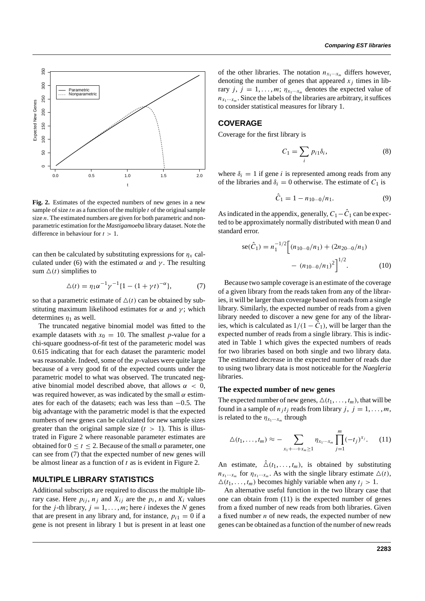

**Fig. 2.** Estimates of the expected numbers of new genes in a new sample of size *tn* as a function of the multiple *t* of the original sample size *n*. The estimated numbers are given for both parametric and nonparametric estimation for the *Mastigamoeba* library dataset. Note the difference in behaviour for *t >* 1.

can then be calculated by substituting expressions for  $\eta_x$  calculated under (6) with the estimated  $\alpha$  and  $\gamma$ . The resulting sum  $\Delta(t)$  simplifies to

$$
\Delta(t) = \eta_1 \alpha^{-1} \gamma^{-1} \{ 1 - (1 + \gamma t)^{-\alpha} \},\tag{7}
$$

so that a parametric estimate of  $\Delta(t)$  can be obtained by substituting maximum likelihood estimates for  $\alpha$  and  $\gamma$ ; which determines  $\eta_1$  as well.

The truncated negative binomial model was fitted to the example datasets with  $x_0 = 10$ . The smallest *p*-value for a chi-square goodness-of-fit test of the parameteric model was 0.615 indicating that for each dataset the paramteric model was reasonable. Indeed, some of the *p*-values were quite large because of a very good fit of the expected counts under the parametric model to what was observed. The truncated negative binomial model described above, that allows  $\alpha < 0$ , was required however, as was indicated by the small *α* estimates for each of the datasets; each was less than −0.5. The big advantage with the parametric model is that the expected numbers of new genes can be calculated for new sample sizes greater than the original sample size  $(t > 1)$ . This is illustrated in Figure 2 where reasonable parameter estimates are obtained for  $0 \le t \le 2$ . Because of the small  $\alpha$  parameter, one can see from (7) that the expected number of new genes will be almost linear as a function of *t* as is evident in Figure 2.

## **MULTIPLE LIBRARY STATISTICS**

Additional subscripts are required to discuss the multiple library case. Here  $p_{ij}$ ,  $n_j$  and  $X_{ij}$  are the  $p_i$ ,  $n$  and  $X_i$  values for the *j*-th library,  $j = 1, \ldots, m$ ; here *i* indexes the *N* genes that are present in any library and, for instance,  $p_{i1} = 0$  if a gene is not present in library 1 but is present in at least one

of the other libraries. The notation  $n_{x_1\cdots x_m}$  differs however, denoting the number of genes that appeared  $x_j$  times in library *j*,  $j = 1, \ldots, m$ ;  $\eta_{x_1 \cdots x_m}$  denotes the expected value of  $n_{x_1 \cdots x_m}$ . Since the labels of the libraries are arbitrary, it suffices to consider statistical measures for library 1.

#### **COVERAGE**

Coverage for the first library is

$$
C_1 = \sum_i p_{i1} \delta_i, \tag{8}
$$

where  $\delta_i = 1$  if gene *i* is represented among reads from any of the libraries and  $\delta_i = 0$  otherwise. The estimate of  $C_1$  is

$$
\hat{C}_1 = 1 - n_{10\cdots0}/n_1. \tag{9}
$$

As indicated in the appendix, generally,  $C_1 - \hat{C}_1$  can be expected to be approximately normally distributed with mean 0 and standard error.

$$
se(\hat{C}_1) = n_1^{-1/2} \Big[ (n_{10\cdots0}/n_1) + (2n_{20\cdots0}/n_1) - (n_{10\cdots0}/n_1)^2 \Big]^{1/2}.
$$
 (10)

Because two sample coverage is an estimate of the coverage of a given library from the reads taken from any of the libraries, it will be larger than coverage based on reads from a single library. Similarly, the expected number of reads from a given library needed to discover a new gene for any of the libraries, which is calculated as  $1/(1 - \hat{C}_1)$ , will be larger than the expected number of reads from a single library. This is indicated in Table 1 which gives the expected numbers of reads for two libraries based on both single and two library data. The estimated decrease in the expected number of reads due to using two library data is most noticeable for the *Naegleria* libraries.

#### **The expected number of new genes**

The expected number of new genes,  $\Delta(t_1, \ldots, t_m)$ , that will be found in a sample of  $n_j t_j$  reads from library  $j, j = 1, \ldots, m$ , is related to the  $\eta_{x_1\cdots x_m}$  through

$$
\Delta(t_1,\ldots,t_m) \approx -\sum_{x_1+\cdots+x_m\geq 1} \eta_{x_1\cdots x_m} \prod_{j=1}^m (-t_j)^{x_j}.
$$
 (11)

An estimate,  $\hat{\triangle}(t_1, \ldots, t_m)$ , is obtained by substituting  $n_{x_1 \cdots x_m}$  for  $n_{x_1 \cdots x_m}$ . As with the single library estimate  $\Delta(t)$ ,  $\Delta(t_1, \ldots, t_m)$  becomes highly variable when any  $t_j > 1$ .

An alternative useful function in the two library case that one can obtain from (11) is the expected number of genes from a fixed number of new reads from both libraries. Given a fixed number *n* of new reads, the expected number of new genes can be obtained as a function of the number of new reads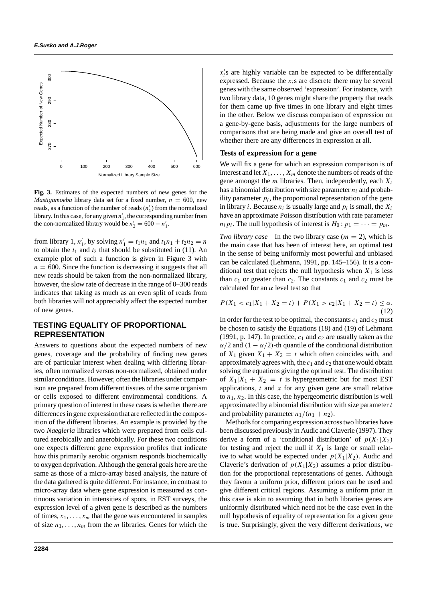

**Fig. 3.** Estimates of the expected numbers of new genes for the *Mastigamoeba* library data set for a fixed number,  $n = 600$ , new reads, as a function of the number of reads  $(n'_1)$  from the normalized library. In this case, for any given  $n'_1$ , the corresponding number from the non-normalized library would be  $n'_2 = 600 - n'_1$ .

from library 1,  $n'_1$ , by solving  $n'_1 = t_1 n_1$  and  $t_1 n_1 + t_2 n_2 = n$ to obtain the  $t_1$  and  $t_2$  that should be substituted in (11). An example plot of such a function is given in Figure 3 with  $n = 600$ . Since the function is decreasing it suggests that all new reads should be taken from the non-normalized library, however, the slow rate of decrease in the range of 0–300 reads indicates that taking as much as an even split of reads from both libraries will not appreciably affect the expected number of new genes.

## **TESTING EQUALITY OF PROPORTIONAL REPRESENTATION**

Answers to questions about the expected numbers of new genes, coverage and the probability of finding new genes are of particular interest when dealing with differing libraries, often normalized versus non-normalized, obtained under similar conditions. However, often the libraries under comparison are prepared from different tissues of the same organism or cells exposed to different environmental conditions. A primary question of interest in these cases is whether there are differences in gene expression that are reflected in the composition of the different libraries. An example is provided by the two *Naegleria* libraries which were prepared from cells cultured aerobically and anaerobically. For these two conditions one expects different gene expression profiles that indicate how this primarily aerobic organism responds biochemically to oxygen deprivation. Although the general goals here are the same as those of a micro-array based analysis, the nature of the data gathered is quite different. For instance, in contrast to micro-array data where gene expression is measured as continuous variation in intensities of spots, in EST surveys, the expression level of a given gene is described as the numbers of times,  $x_1, \ldots, x_m$  that the gene was encountered in samples of size  $n_1, \ldots, n_m$  from the *m* libraries. Genes for which the

 $x_i$ 's are highly variable can be expected to be differentially expressed. Because the  $x_i$ s are discrete there may be several genes with the same observed 'expression'. For instance, with two library data, 10 genes might share the property that reads for them came up five times in one library and eight times in the other. Below we discuss comparison of expression on a gene-by-gene basis, adjustments for the large numbers of comparisons that are being made and give an overall test of whether there are any differences in expression at all.

## **Tests of expression for a gene**

We will fix a gene for which an expression comparison is of interest and let  $X_1, \ldots, X_m$  denote the numbers of reads of the gene amongst the *m* libraries. Then, independently, each *Xi* has a binomial distribution with size parameter  $n_i$  and probability parameter  $p_i$ , the proportional representation of the gene in library *i*. Because  $n_i$  is usually large and  $p_i$  is small, the  $X_i$ have an approximate Poisson distribution with rate parameter  $n_i p_i$ . The null hypothesis of interest is  $H_0: p_1 = \cdots = p_m$ .

*Two library case* In the two library case  $(m = 2)$ , which is the main case that has been of interest here, an optimal test in the sense of being uniformly most powerful and unbiased can be calculated (Lehmann, 1991, pp. 145–156). It is a conditional test that rejects the null hypothesis when  $X_1$  is less than  $c_1$  or greater than  $c_2$ . The constants  $c_1$  and  $c_2$  must be calculated for an *α* level test so that

$$
P(X_1 < c_1 | X_1 + X_2 = t) + P(X_1 > c_2 | X_1 + X_2 = t) \le \alpha. \tag{12}
$$

In order for the test to be optimal, the constants  $c_1$  and  $c_2$  must be chosen to satisfy the Equations (18) and (19) of Lehmann (1991, p. 147). In practice,  $c_1$  and  $c_2$  are usually taken as the  $\alpha/2$  and  $(1 - \alpha/2)$ -th quantile of the conditional distribution of  $X_1$  given  $X_1 + X_2 = t$  which often coincides with, and approximately agrees with, the  $c_1$  and  $c_2$  that one would obtain solving the equations giving the optimal test. The distribution of  $X_1|X_1 + X_2 = t$  is hypergeometric but for most EST applications, *t* and *x* for any given gene are small relative to  $n_1$ ,  $n_2$ . In this case, the hypergeometric distribution is well approximated by a binomial distribution with size parameter *t* and probability parameter  $n_1/(n_1 + n_2)$ .

Methods for comparing expression across two libraries have been discussed previously in Audic and Claverie (1997). They derive a form of a 'conditional distribution' of  $p(X_1|X_2)$ for testing and reject the null if  $X_1$  is large or small relative to what would be expected under  $p(X_1|X_2)$ . Audic and Claverie's derivation of  $p(X_1|X_2)$  assumes a prior distribution for the proportional representations of genes. Although they favour a uniform prior, different priors can be used and give different critical regions. Assuming a uniform prior in this case is akin to assuming that in both libraries genes are uniformly distributed which need not be the case even in the null hypothesis of equality of representation for a given gene is true. Surprisingly, given the very different derivations, we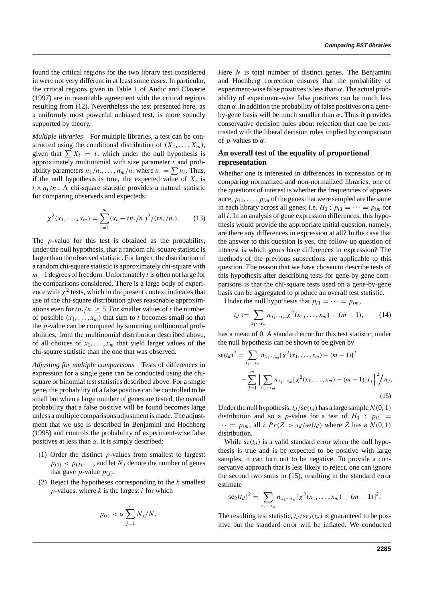found the critical regions for the two library test considered in were not very different in at least some cases. In particular, the critical regions given in Table 1 of Audic and Claverie (1997) are in reasonable agreement with the critical regions resulting from (12). Nevertheless the test presented here, as a uniformly most powerful unbiased test, is more soundly supported by theory.

*Multiple libraries* For multiple libraries, a test can be constructed using the conditional distribution of  $(X_1, \ldots, X_m)$ , given that  $\sum X_i = t$ , which under the null hypothesis is approximately multinomial with size parameter *t* and probability parameters  $n_1/n, \ldots, n_m/n$  where  $n = \sum n_i$ . Thus, if the null hypothesis is true, the expected value of  $X_i$  is  $t \times n_i/n$ . A chi-square statistic provides a natural statistic for comparing observeds and expecteds:

$$
\chi^{2}(x_{1},...,x_{m}) = \sum_{i=1}^{m} (x_{i} - tn_{i}/n_{i})^{2}/(tn_{i}/n_{i}). \qquad (13)
$$

The *p*-value for this test is obtained as the probability, under the null hypothesis, that a random chi-square statistic is larger than the observed statistic. For large *t*, the distribution of a random chi-square statistic is approximately chi-square with *m*−1 degrees of freedom. Unfortunately *t* is often not large for the comparisons considered. There is a large body of experience with  $\chi^2$  tests, which in the present context indicates that use of the chi-square distribution gives reasonable approximations even for  $tn_i/n \geq 5$ . For smaller values of *t* the number of possible  $(x_1, \ldots, x_m)$  that sum to *t* becomes small so that the *p*-value can be computed by summing multinomial probabilities, from the multinomial distribution described above, of all choices of  $x_1, \ldots, x_m$  that yield larger values of the chi-square statistic than the one that was observed.

*Adjusting for multiple comparisons* Tests of differences in expression for a single gene can be conducted using the chisquare or binomial test statistics described above. For a single gene, the probability of a false positive can be controlled to be small but when a large number of genes are tested, the overall probability that a false positive will be found becomes large unless a multiple comparisons adjustment is made. The adjustment that we use is described in Benjamini and Hochberg (1995) and controls the probability of experiment-wise false positives at less than  $\alpha$ . It is simply described:

- (1) Order the distinct *p*-values from smallest to largest:  $p_{(1)} < p_{(2)} \dots$ , and let  $N_j$  denote the number of genes that gave *p*-value  $p_{(j)}$ .
- (2) Reject the hypotheses corresponding to the *k* smallest *p*-values, where *k* is the largest *i* for which

$$
p_{(i)} < \alpha \sum_{j=1}^i N_j / N.
$$

Here *N* is total number of distinct genes. The Benjamini and Hochberg correction ensures that the probability of experiment-wise false positives is less than *α*. The actual probability of experiment-wise false positives can be much less than  $\alpha$ . In addition the probability of false positives on a geneby-gene basis will be much smaller than *α*. Thus it provides conservative decision rules about rejection that can be contrasted with the liberal decision rules implied by comparison of *p*-values to  $\alpha$ .

## **An overall test of the equality of proportional representation**

Whether one is interested in differences in expression or in comparing normalized and non-normalized libraries, one of the questions of interest is whether the frequencies of appearance,  $p_{i1}, \ldots, p_{im}$  of the genes that were sampled are the same in each library across all genes; i.e.  $H_0: p_{i1} = \cdots = p_{im}$  for all *i*. In an analysis of gene expression differences, this hypothesis would provide the appropriate initial question, namely, are there any differences in expression at all? In the case that the answer to this question is yes, the follow-up question of interest is which genes have differences in expression? The methods of the previous subsections are applicable to this question. The reason that we have chosen to describe tests of this hypothesis after describing tests for gene-by-gene comparisons is that the chi-square tests used on a gene-by-gene basis can be aggregated to produce an overall test statistic.

Under the null hypothesis that  $p_{i1} = \cdots = p_{im}$ ,

$$
t_d := \sum_{x_1 \cdots x_m} n_{x_1 \cdots x_m} \chi^2(x_1, \ldots, x_m) - (m-1), \qquad (14)
$$

has a mean of 0. A standard error for this test statistic, under the null hypothesis can be shown to be given by

$$
se(t_d)^2 = \sum_{x_1 \cdots x_m} n_{x_1 \cdots x_m} [\chi^2(x_1, \ldots, x_m) - (m-1)]^2
$$
  

$$
- \sum_{j=1}^m \left\{ \sum_{x_1 \cdots x_m} n_{x_1 \cdots x_m} [\chi^2(x_1, \ldots, x_m) - (m-1)]x_j \right\}^2 / n_j.
$$
  
(15)

Under the null hypothesis,  $t_d$  /se $(t_d)$  has a large sample  $N(0, 1)$ distribution and so a *p*-value for a test of  $H_0$ :  $p_{i1}$  =  $\cdots$  =  $p_{im}$ , all *i*  $Pr(Z > t_d / \text{se}(t_d))$  where *Z* has a  $N(0, 1)$ distribution.

While  $se(t_d)$  is a valid standard error when the null hypothesis is true and is be expected to be positive with large samples, it can turn out to be negative. To provide a conservative approach that is less likely to reject, one can ignore the second two sums in (15), resulting in the standard error estimate

$$
\operatorname{se}_2(t_d)^2 = \sum_{x_1 \cdots x_m} n_{x_1 \cdots x_m} [\chi^2(x_1, \ldots, x_m) - (m-1)]^2.
$$

The resulting test statistic,  $t_d$  /se<sub>2</sub> $(t_d)$  is guaranteed to be positive but the standard error will be inflated. We conducted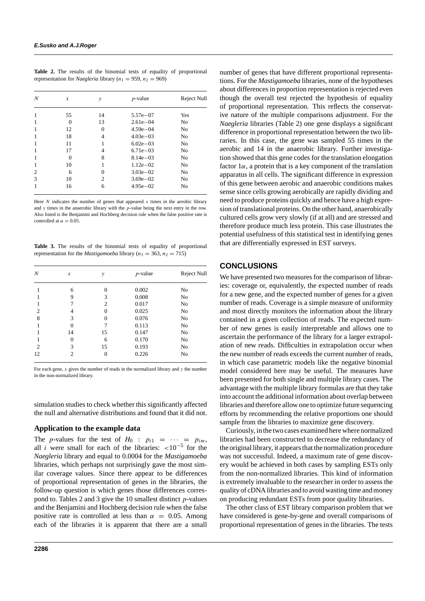| N              | $\boldsymbol{x}$ | y        | <i>p</i> -value | Reject Null    |
|----------------|------------------|----------|-----------------|----------------|
| 1              | 55               | 14       | $5.57e - 07$    | Yes            |
| 1              | $\Omega$         | 13       | $2.61e - 04$    | No             |
| 1              | 12               | $\Omega$ | $4.59e - 04$    | No             |
| 1              | 18               | 4        | $4.03e - 03$    | No             |
| 1              | 11               | 1        | $6.02e - 0.3$   | No             |
| 1              | 17               | 4        | $6.71e - 0.3$   | N <sub>0</sub> |
| 1              | $\Omega$         | 8        | $8.14e - 03$    | No             |
| 1              | 10               |          | $1.12e - 02$    | No             |
| $\overline{c}$ | 6                | $_{0}$   | $3.03e - 02$    | No             |
| 3              | 10               | 2        | $3.69e - 02$    | No             |
|                | 16               | 6        | $4.95e - 02$    | No             |
|                |                  |          |                 |                |

**Table 2.** The results of the binomial tests of equality of proportional representation for *Naegleria* library ( $n_1 = 959$ ,  $n_2 = 969$ )

Here *N* indicates the number of genes that appeared *x* times in the aerobic library and *y* times in the anaerobic library with the *p*-value being the next entry in the row. Also listed is the Benjamini and Hochberg decision rule when the false positive rate is controlled at  $\alpha = 0.05$ 

**Table 3.** The results of the binomial tests of equality of proportional representation for the *Mastigamoeba* library ( $n_1 = 363$ ,  $n_2 = 715$ )

| N  | $\boldsymbol{x}$ | y        | $p$ -value | Reject Null    |
|----|------------------|----------|------------|----------------|
|    | 6                | $\Omega$ | 0.002      | No             |
|    | 9                | 3        | 0.008      | N <sub>0</sub> |
|    | 7                | 2        | 0.017      | No             |
| 2  | 4                | $\Omega$ | 0.025      | No             |
| 8  | 3                | $\Omega$ | 0.076      | No             |
|    | 0                | 7        | 0.113      | No             |
|    | 14               | 15       | 0.147      | No             |
|    | 0                | 6        | 0.170      | No             |
| 2  | 3                | 15       | 0.193      | No             |
| 12 | 2                | 0        | 0.226      | No             |

For each gene, *x* gives the number of reads in the normalized library and *y* the number in the non-normalized library.

simulation studies to check whether this significantly affected the null and alternative distributions and found that it did not.

#### **Application to the example data**

The *p*-values for the test of  $H_0$ :  $p_{i1}$  =  $\cdots$  =  $p_{im}$ , all *i* were small for each of the libraries: *<*10−<sup>5</sup> for the *Naegleria* library and equal to 0.0004 for the *Mastigamoeba* libraries, which perhaps not surprisingly gave the most similar coverage values. Since there appear to be differences of proportional representation of genes in the libraries, the follow-up question is which genes those differences correspond to. Tables 2 and 3 give the 10 smallest distinct *p*-values and the Benjamini and Hochberg decision rule when the false positive rate is controlled at less than  $\alpha = 0.05$ . Among each of the libraries it is apparent that there are a small number of genes that have different proportional representations. For the *Mastigamoeba* libraries, none of the hypotheses about differences in proportion representation is rejected even though the overall test rejected the hypothesis of equality of proportional representation. This reflects the conservative nature of the multiple comparisons adjustment. For the *Naegleria* libraries (Table 2) one gene displays a significant difference in proportional representation between the two libraries. In this case, the gene was sampled 55 times in the aerobic and 14 in the anaerobic library. Further investigation showed that this gene codes for the translation elongation factor  $1\alpha$ , a protein that is a key component of the translation apparatus in all cells. The significant difference in expression of this gene between aerobic and anaerobic conditions makes sense since cells growing aerobically are rapidly dividing and need to produce proteins quickly and hence have a high expresion of translational proteins. On the other hand, anaerobically cultured cells grow very slowly (if at all) and are stressed and therefore produce much less protein. This case illustrates the potential usefulness of this statistical test in identifying genes that are differentially expressed in EST surveys.

#### **CONCLUSIONS**

We have presented two measures for the comparison of libraries: coverage or, equivalently, the expected number of reads for a new gene, and the expected number of genes for a given number of reads. Coverage is a simple measure of uniformity and most directly monitors the information about the library contained in a given collection of reads. The expected number of new genes is easily interpretable and allows one to ascertain the performance of the library for a larger extrapolation of new reads. Difficulties in extrapolation occur when the new number of reads exceeds the current number of reads, in which case parametric models like the negative binomial model considered here may be useful. The measures have been presented for both single and multiple library cases. The advantage with the multiple library formulas are that they take into account the additional information about overlap between libraries and therefore allow one to optimize future sequencing efforts by recommending the relative proportions one should sample from the libraries to maximize gene discovery.

Curiously, in the two cases examined here where normalized libraries had been constructed to decrease the redundancy of the original library, it appears that the normalization procedure was not successful. Indeed, a maximum rate of gene discovery would be achieved in both cases by sampling ESTs only from the non-normalized libraries. This kind of information is extremely invaluable to the researcher in order to assess the quality of cDNA libraries and to avoid wasting time and money on producing redundant ESTs from poor quality libraries.

The other class of EST library comparison problem that we have considered is gene-by-gene and overall comparisons of proportional representation of genes in the libraries. The tests